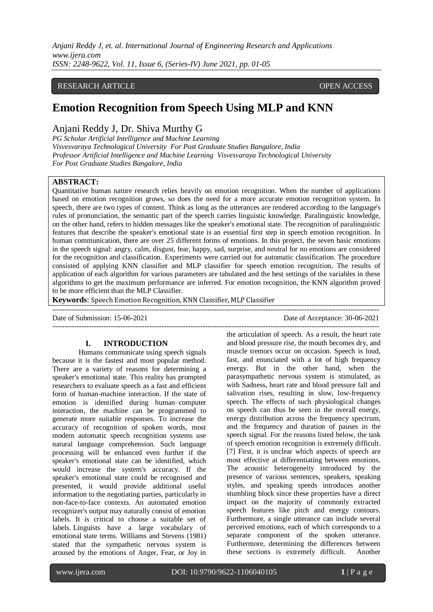# RESEARCH ARTICLE **CONTRACT ARTICLE** AND A SERVICE OPEN ACCESS OPEN ACCESS

# **Emotion Recognition from Speech Using MLP and KNN**

# Anjani Reddy J, Dr. Shiva Murthy G

*PG Scholar Artificial Intelligence and Machine Learning Visvesvaraya Technological University For Post Graduate Studies Bangalore, India Professor Artificial Intelligence and Machine Learning Visvesvaraya Technological University For Post Graduate Studies Bangalore, India*

### **ABSTRACT:**

Quantitative human nature research relies heavily on emotion recognition. When the number of applications based on emotion recognition grows, so does the need for a more accurate emotion recognition system. In speech, there are two types of content. Think as long as the utterances are rendered according to the language's rules of pronunciation, the semantic part of the speech carries linguistic knowledge. Paralinguistic knowledge, on the other hand, refers to hidden messages like the speaker's emotional state. The recognition of paralinguistic features that describe the speaker's emotional state is an essential first step in speech emotion recognition. In human communication, there are over 25 different forms of emotions. In this project, the seven basic emotions in the speech signal: angry, calm, disgust, fear, happy, sad, surprise, and neutral for no emotions are considered for the recognition and classification. Experiments were carried out for automatic classification. The procedure consisted of applying KNN classifier and MLP classifier for speech emotion recognition. The results of application of each algorithm for various parameters are tabulated and the best settings of the variables in these algorithms to get the maximum performance are inferred. For emotion recognition, the KNN algorithm proved to be more efficient than the MLP Classifier.

**Keywords**: Speech Emotion Recognition, KNN Classifier, MLP Classifier

---------------------------------------------------------------------------------------------------------------------------------------

Date of Submission: 15-06-2021 Date of Acceptance: 30-06-2021

## **I. INTRODUCTION**

Humans communicate using speech signals because it is the fastest and most popular method. There are a variety of reasons for determining a speaker's emotional state. This reality has prompted researchers to evaluate speech as a fast and efficient form of human-machine interaction. If the state of emotion is identified during human–computer interaction, the machine can be programmed to generate more suitable responses. To increase the accuracy of recognition of spoken words, most modern automatic speech recognition systems use natural language comprehension. Such language processing will be enhanced even further if the speaker's emotional state can be identified, which would increase the system's accuracy. If the speaker's emotional state could be recognised and presented, it would provide additional useful information to the negotiating parties, particularly in non-face-to-face contexts. An automated emotion recognizer's output may naturally consist of emotion labels. It is critical to choose a suitable set of labels. Linguists have a large vocabulary of emotional state terms. Williams and Stevens (1981) stated that the sympathetic nervous system is aroused by the emotions of Anger, Fear, or Joy in

-------------------------------------------------------------------------------------------------------------------------------------- the articulation of speech. As a result, the heart rate and blood pressure rise, the mouth becomes dry, and muscle tremors occur on occasion. Speech is loud, fast, and enunciated with a lot of high frequency energy. But in the other hand, when the parasympathetic nervous system is stimulated, as with Sadness, heart rate and blood pressure fall and salivation rises, resulting in slow, low-frequency speech. The effects of such physiological changes on speech can thus be seen in the overall energy, energy distribution across the frequency spectrum, and the frequency and duration of pauses in the speech signal. For the reasons listed below, the task of speech emotion recognition is extremely difficult. [7] First, it is unclear which aspects of speech are most effective at differentiating between emotions. The acoustic heterogeneity introduced by the presence of various sentences, speakers, speaking styles, and speaking speeds introduces another stumbling block since these properties have a direct impact on the majority of commonly extracted speech features like pitch and energy contours. Furthermore, a single utterance can include several perceived emotions, each of which corresponds to a separate component of the spoken utterance. Furthermore, determining the differences between these sections is extremely difficult. Another

www.ijera.com DOI: 10.9790/9622-1106040105 **1** | P a g e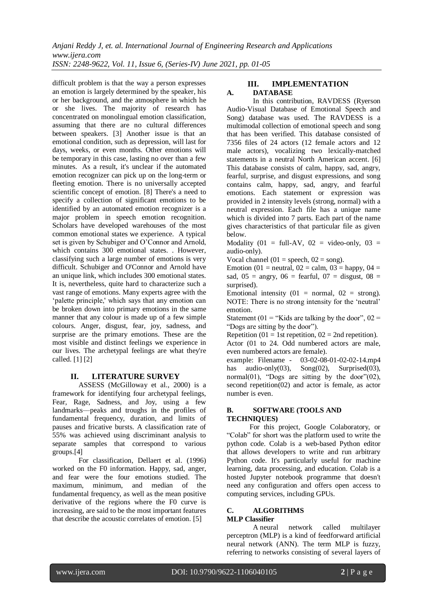difficult problem is that the way a person expresses an emotion is largely determined by the speaker, his or her background, and the atmosphere in which he or she lives. The majority of research has concentrated on monolingual emotion classification, assuming that there are no cultural differences between speakers. [3] Another issue is that an emotional condition, such as depression, will last for days, weeks, or even months. Other emotions will be temporary in this case, lasting no over than a few minutes. As a result, it's unclear if the automated emotion recognizer can pick up on the long-term or fleeting emotion. There is no universally accepted scientific concept of emotion. [8] There's a need to specify a collection of significant emotions to be identified by an automated emotion recognizer is a major problem in speech emotion recognition. Scholars have developed warehouses of the most common emotional states we experience. A typical set is given by Schubiger and O'Connor and Arnold, which contains 300 emotional states. . However, classifying such a large number of emotions is very difficult. Schubiger and O'Connor and Arnold have an unique link, which includes 300 emotional states. It is, nevertheless, quite hard to characterize such a vast range of emotions. Many experts agree with the 'palette principle,' which says that any emotion can be broken down into primary emotions in the same manner that any colour is made up of a few simple colours. Anger, disgust, fear, joy, sadness, and surprise are the primary emotions. These are the most visible and distinct feelings we experience in our lives. The archetypal feelings are what they're called. [1] [2]

## **II. LITERATURE SURVEY**

ASSESS (McGilloway et al., 2000) is a framework for identifying four archetypal feelings, Fear, Rage, Sadness, and Joy, using a few landmarks––peaks and troughs in the profiles of fundamental frequency, duration, and limits of pauses and fricative bursts. A classification rate of 55% was achieved using discriminant analysis to separate samples that correspond to various groups.[4]

For classification, Dellaert et al. (1996) worked on the F0 information. Happy, sad, anger, and fear were the four emotions studied. The maximum, minimum, and median of the fundamental frequency, as well as the mean positive derivative of the regions where the F0 curve is increasing, are said to be the most important features that describe the acoustic correlates of emotion. [5]

### **III. IMPLEMENTATION A. DATABASE**

In this contribution, RAVDESS (Ryerson Audio-Visual Database of Emotional Speech and Song) database was used. The RAVDESS is a multimodal collection of emotional speech and song that has been verified. This database consisted of 7356 files of 24 actors (12 female actors and 12 male actors), vocalizing two lexically-matched statements in a neutral North American accent. [6] This database consists of calm, happy, sad, angry, fearful, surprise, and disgust expressions, and song contains calm, happy, sad, angry, and fearful emotions. Each statement or expression was provided in 2 intensity levels (strong, normal) with a neutral expression. Each file has a unique name which is divided into 7 parts. Each part of the name gives characteristics of that particular file as given below.

Modality (01 = full-AV, 02 = video-only, 03 = audio-only).

Vocal channel (01 = speech,  $02 =$  song).

Emotion (01 = neutral,  $02 = \text{calm}$ ,  $03 = \text{hapor}$ ,  $04 =$ sad,  $05 =$  angry,  $06 =$  fearful,  $07 =$  disgust,  $08 =$ surprised).

Emotional intensity  $(01 = normal, 02 = strong)$ . NOTE: There is no strong intensity for the 'neutral' emotion.

Statement (01 = "Kids are talking by the door",  $02 =$ "Dogs are sitting by the door").

Repetition (01 = 1st repetition, 02 = 2nd repetition). Actor (01 to 24. Odd numbered actors are male, even numbered actors are female).

example: Filename - 03-02-08-01-02-02-14.mp4 has audio-only(03),  $Song(02)$ , Surprised(03), normal $(01)$ , "Dogs are sitting by the door" $(02)$ , second repetition(02) and actor is female, as actor number is even.

### **B. SOFTWARE (TOOLS AND TECHNIQUES)**

For this project, Google Colaboratory, or "Colab" for short was the platform used to write the python code. Colab is a web-based Python editor that allows developers to write and run arbitrary Python code. It's particularly useful for machine learning, data processing, and education. Colab is a hosted Jupyter notebook programme that doesn't need any configuration and offers open access to computing services, including GPUs.

# **C. ALGORITHMS**

# **MLP Classifier**

A neural network called multilayer perceptron (MLP) is a kind of feedforward artificial neural network (ANN). The term MLP is fuzzy, referring to networks consisting of several layers of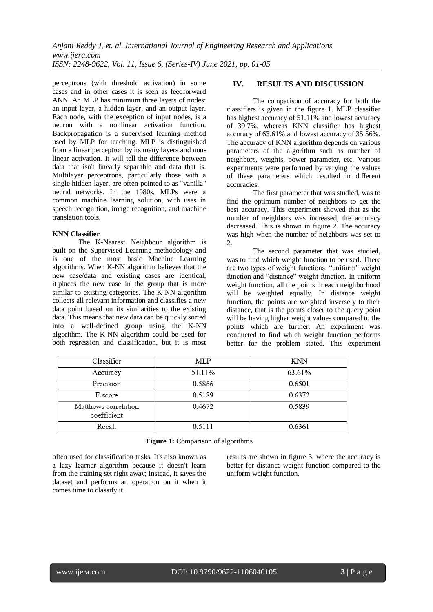perceptrons (with threshold activation) in some cases and in other cases it is seen as feedforward ANN. An MLP has minimum three layers of nodes: an input layer, a hidden layer, and an output layer. Each node, with the exception of input nodes, is a neuron with a nonlinear activation function. Backpropagation is a supervised learning method used by MLP for teaching. MLP is distinguished from a linear perceptron by its many layers and nonlinear activation. It will tell the difference between data that isn't linearly separable and data that is. Multilayer perceptrons, particularly those with a single hidden layer, are often pointed to as "vanilla" neural networks. In the 1980s, MLPs were a common machine learning solution, with uses in speech recognition, image recognition, and machine translation tools.

### **KNN Classifier**

The K-Nearest Neighbour algorithm is built on the Supervised Learning methodology and is one of the most basic Machine Learning algorithms. When K-NN algorithm believes that the new case/data and existing cases are identical, it places the new case in the group that is more similar to existing categories. The K-NN algorithm collects all relevant information and classifies a new data point based on its similarities to the existing data. This means that new data can be quickly sorted into a well-defined group using the K-NN algorithm. The K-NN algorithm could be used for both regression and classification, but it is most

# **IV. RESULTS AND DISCUSSION**

The comparison of accuracy for both the classifiers is given in the figure 1. MLP classifier has highest accuracy of 51.11% and lowest accuracy of 39.7%, whereas KNN classifier has highest accuracy of 63.61% and lowest accuracy of 35.56%. The accuracy of KNN algorithm depends on various parameters of the algorithm such as number of neighbors, weights, power parameter, etc. Various experiments were performed by varying the values of these parameters which resulted in different accuracies.

The first parameter that was studied, was to find the optimum number of neighbors to get the best accuracy. This experiment showed that as the number of neighbors was increased, the accuracy decreased. This is shown in figure 2. The accuracy was high when the number of neighbors was set to  $2^{\circ}$ 

The second parameter that was studied, was to find which weight function to be used. There are two types of weight functions: "uniform" weight function and "distance" weight function. In uniform weight function, all the points in each neighborhood will be weighted equally. In distance weight function, the points are weighted inversely to their distance, that is the points closer to the query point will be having higher weight values compared to the points which are further. An experiment was conducted to find which weight function performs better for the problem stated. This experiment

| Classifier                          | MLP    | <b>KNN</b> |
|-------------------------------------|--------|------------|
| Accuracy                            | 51.11% | 63.61%     |
| Precision                           | 0.5866 | 0.6501     |
| F-score                             | 0.5189 | 0.6372     |
| Matthews correlation<br>coefficient | 0.4672 | 0.5839     |
| Recall                              | 0.5111 | 0.6361     |

#### **Figure 1:** Comparison of algorithms

often used for classification tasks. It's also known as a lazy learner algorithm because it doesn't learn from the training set right away; instead, it saves the dataset and performs an operation on it when it comes time to classify it.

results are shown in figure 3, where the accuracy is better for distance weight function compared to the uniform weight function.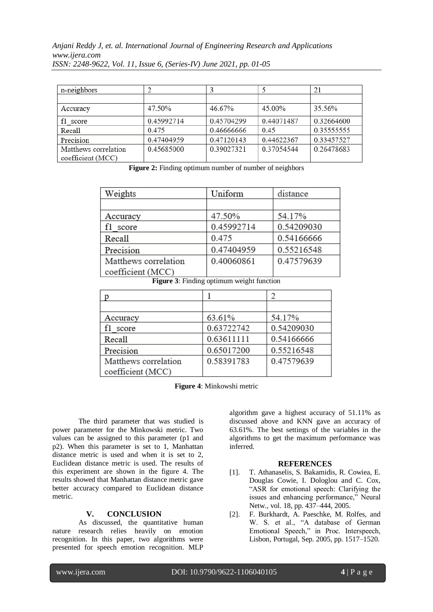| n-neighbors                               |            |            |            | 21          |
|-------------------------------------------|------------|------------|------------|-------------|
|                                           |            |            |            |             |
| Accuracy                                  | 47.50%     | 46.67%     | 45.00%     | 35.56%      |
| score                                     | 0.45992714 | 0.45704299 | 0.44071487 | 0.32664600  |
| Recall                                    | 0.475      | 0.46666666 | 0.45       | 0.355555555 |
| Precision                                 | 0.47404959 | 0.47120143 | 0.44622367 | 0.33457527  |
| Matthews correlation<br>coefficient (MCC) | 0.45685000 | 0.39027321 | 0.37054544 | 0.26478683  |

**Figure 2:** Finding optimum number of number of neighbors

| Weights              | Uniform    | distance   |
|----------------------|------------|------------|
|                      |            |            |
| Accuracy             | 47.50%     | 54.17%     |
| f1 score             | 0.45992714 | 0.54209030 |
| Recall               | 0.475      | 0.54166666 |
| Precision            | 0.47404959 | 0.55216548 |
| Matthews correlation | 0.40060861 | 0.47579639 |
| coefficient (MCC)    |            |            |

**Figure 3**: Finding optimum weight function

| Accuracy             | 63.61%     | 54.17%     |
|----------------------|------------|------------|
| f1 score             | 0.63722742 | 0.54209030 |
| Recall               | 0.63611111 | 0.54166666 |
| Precision            | 0.65017200 | 0.55216548 |
| Matthews correlation | 0.58391783 | 0.47579639 |
| coefficient (MCC)    |            |            |

**Figure 4**: Minkowshi metric

The third parameter that was studied is power parameter for the Minkowski metric. Two values can be assigned to this parameter (p1 and p2). When this parameter is set to 1, Manhattan distance metric is used and when it is set to 2, Euclidean distance metric is used. The results of this experiment are shown in the figure 4. The results showed that Manhattan distance metric gave better accuracy compared to Euclidean distance metric.

## **V. CONCLUSION**

As discussed, the quantitative human nature research relies heavily on emotion recognition. In this paper, two algorithms were presented for speech emotion recognition. MLP algorithm gave a highest accuracy of 51.11% as discussed above and KNN gave an accuracy of 63.61%. The best settings of the variables in the algorithms to get the maximum performance was inferred.

#### **REFERENCES**

- [1]. T. Athanaselis, S. Bakamidis, R. Cowiea, E. Douglas Cowie, I. Dologlou and C. Cox, "ASR for emotional speech: Clarifying the issues and enhancing performance," Neural Netw., vol. 18, pp. 437–444, 2005.
- [2]. F. Burkhardt, A. Paeschke, M. Rolfes, and W. S. et al., "A database of German Emotional Speech," in Proc. Interspeech, Lisbon, Portugal, Sep. 2005, pp. 1517–1520.